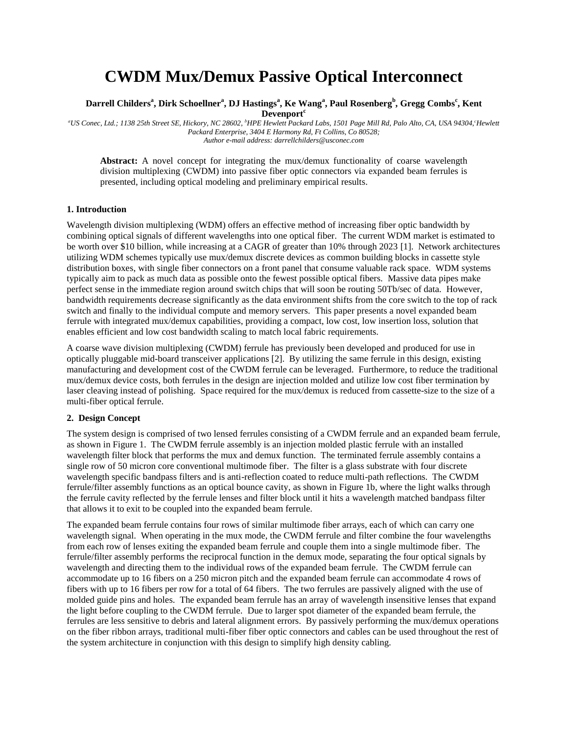# **CWDM Mux/Demux Passive Optical Interconnect**

# **Darrell Childers<sup>a</sup> , Dirk Schoellner<sup>a</sup> , DJ Hastings<sup>a</sup> , Ke Wang<sup>a</sup> , Paul Rosenberg<sup>b</sup> , Gregg Combs<sup>c</sup> , Kent Devenport<sup>c</sup>**

*<sup>a</sup>US Conec, Ltd.; 1138 25th Street SE, Hickory, NC 28602, <sup>b</sup>HPE Hewlett Packard Labs, 1501 Page Mill Rd, Palo Alto, CA, USA 94304,<sup>c</sup>Hewlett Packard Enterprise, 3404 E Harmony Rd, Ft Collins, Co 80528; Author e-mail address: darrellchilders@usconec.com*

**Abstract:** A novel concept for integrating the mux/demux functionality of coarse wavelength division multiplexing (CWDM) into passive fiber optic connectors via expanded beam ferrules is presented, including optical modeling and preliminary empirical results.

#### **1. Introduction**

Wavelength division multiplexing (WDM) offers an effective method of increasing fiber optic bandwidth by combining optical signals of different wavelengths into one optical fiber. The current WDM market is estimated to be worth over \$10 billion, while increasing at a CAGR of greater than 10% through 2023 [1]. Network architectures utilizing WDM schemes typically use mux/demux discrete devices as common building blocks in cassette style distribution boxes, with single fiber connectors on a front panel that consume valuable rack space. WDM systems typically aim to pack as much data as possible onto the fewest possible optical fibers. Massive data pipes make perfect sense in the immediate region around switch chips that will soon be routing 50Tb/sec of data. However, bandwidth requirements decrease significantly as the data environment shifts from the core switch to the top of rack switch and finally to the individual compute and memory servers. This paper presents a novel expanded beam ferrule with integrated mux/demux capabilities, providing a compact, low cost, low insertion loss, solution that enables efficient and low cost bandwidth scaling to match local fabric requirements.

A coarse wave division multiplexing (CWDM) ferrule has previously been developed and produced for use in optically pluggable mid-board transceiver applications [2]. By utilizing the same ferrule in this design, existing manufacturing and development cost of the CWDM ferrule can be leveraged. Furthermore, to reduce the traditional mux/demux device costs, both ferrules in the design are injection molded and utilize low cost fiber termination by laser cleaving instead of polishing. Space required for the mux/demux is reduced from cassette-size to the size of a multi-fiber optical ferrule.

# **2. Design Concept**

The system design is comprised of two lensed ferrules consisting of a CWDM ferrule and an expanded beam ferrule, as shown in Figure 1. The CWDM ferrule assembly is an injection molded plastic ferrule with an installed wavelength filter block that performs the mux and demux function. The terminated ferrule assembly contains a single row of 50 micron core conventional multimode fiber. The filter is a glass substrate with four discrete wavelength specific bandpass filters and is anti-reflection coated to reduce multi-path reflections. The CWDM ferrule/filter assembly functions as an optical bounce cavity, as shown in Figure 1b, where the light walks through the ferrule cavity reflected by the ferrule lenses and filter block until it hits a wavelength matched bandpass filter that allows it to exit to be coupled into the expanded beam ferrule.

The expanded beam ferrule contains four rows of similar multimode fiber arrays, each of which can carry one wavelength signal. When operating in the mux mode, the CWDM ferrule and filter combine the four wavelengths from each row of lenses exiting the expanded beam ferrule and couple them into a single multimode fiber. The ferrule/filter assembly performs the reciprocal function in the demux mode, separating the four optical signals by wavelength and directing them to the individual rows of the expanded beam ferrule. The CWDM ferrule can accommodate up to 16 fibers on a 250 micron pitch and the expanded beam ferrule can accommodate 4 rows of fibers with up to 16 fibers per row for a total of 64 fibers. The two ferrules are passively aligned with the use of molded guide pins and holes. The expanded beam ferrule has an array of wavelength insensitive lenses that expand the light before coupling to the CWDM ferrule. Due to larger spot diameter of the expanded beam ferrule, the ferrules are less sensitive to debris and lateral alignment errors. By passively performing the mux/demux operations on the fiber ribbon arrays, traditional multi-fiber fiber optic connectors and cables can be used throughout the rest of the system architecture in conjunction with this design to simplify high density cabling.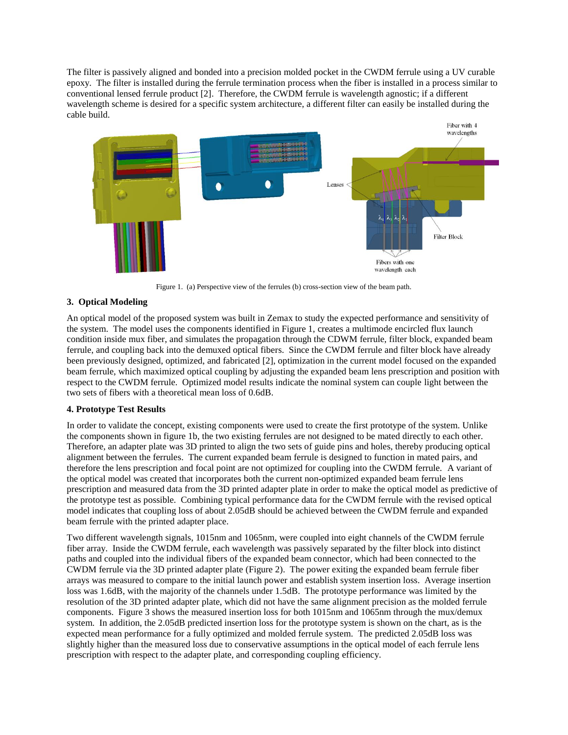The filter is passively aligned and bonded into a precision molded pocket in the CWDM ferrule using a UV curable epoxy. The filter is installed during the ferrule termination process when the fiber is installed in a process similar to conventional lensed ferrule product [2]. Therefore, the CWDM ferrule is wavelength agnostic; if a different wavelength scheme is desired for a specific system architecture, a different filter can easily be installed during the cable build.



Figure 1. (a) Perspective view of the ferrules (b) cross-section view of the beam path.

### **3. Optical Modeling**

An optical model of the proposed system was built in Zemax to study the expected performance and sensitivity of the system. The model uses the components identified in Figure 1, creates a multimode encircled flux launch condition inside mux fiber, and simulates the propagation through the CDWM ferrule, filter block, expanded beam ferrule, and coupling back into the demuxed optical fibers. Since the CWDM ferrule and filter block have already been previously designed, optimized, and fabricated [2], optimization in the current model focused on the expanded beam ferrule, which maximized optical coupling by adjusting the expanded beam lens prescription and position with respect to the CWDM ferrule. Optimized model results indicate the nominal system can couple light between the two sets of fibers with a theoretical mean loss of 0.6dB.

# **4. Prototype Test Results**

In order to validate the concept, existing components were used to create the first prototype of the system. Unlike the components shown in figure 1b, the two existing ferrules are not designed to be mated directly to each other. Therefore, an adapter plate was 3D printed to align the two sets of guide pins and holes, thereby producing optical alignment between the ferrules. The current expanded beam ferrule is designed to function in mated pairs, and therefore the lens prescription and focal point are not optimized for coupling into the CWDM ferrule. A variant of the optical model was created that incorporates both the current non-optimized expanded beam ferrule lens prescription and measured data from the 3D printed adapter plate in order to make the optical model as predictive of the prototype test as possible. Combining typical performance data for the CWDM ferrule with the revised optical model indicates that coupling loss of about 2.05dB should be achieved between the CWDM ferrule and expanded beam ferrule with the printed adapter place.

Two different wavelength signals, 1015nm and 1065nm, were coupled into eight channels of the CWDM ferrule fiber array. Inside the CWDM ferrule, each wavelength was passively separated by the filter block into distinct paths and coupled into the individual fibers of the expanded beam connector, which had been connected to the CWDM ferrule via the 3D printed adapter plate (Figure 2). The power exiting the expanded beam ferrule fiber arrays was measured to compare to the initial launch power and establish system insertion loss. Average insertion loss was 1.6dB, with the majority of the channels under 1.5dB. The prototype performance was limited by the resolution of the 3D printed adapter plate, which did not have the same alignment precision as the molded ferrule components. Figure 3 shows the measured insertion loss for both 1015nm and 1065nm through the mux/demux system. In addition, the 2.05dB predicted insertion loss for the prototype system is shown on the chart, as is the expected mean performance for a fully optimized and molded ferrule system. The predicted 2.05dB loss was slightly higher than the measured loss due to conservative assumptions in the optical model of each ferrule lens prescription with respect to the adapter plate, and corresponding coupling efficiency.